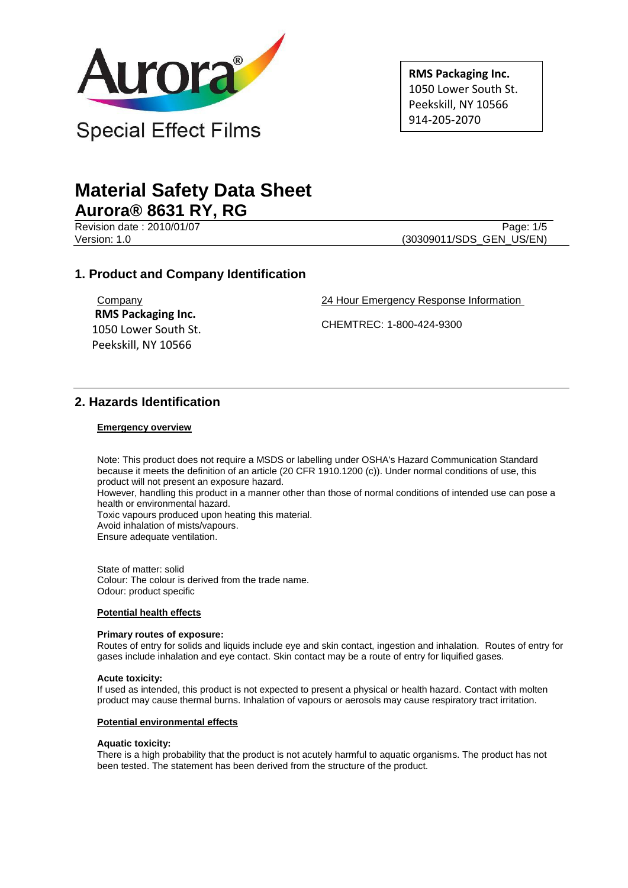

**RMS Packaging Inc.** 1050 Lower South St. Peekskill, NY 10566 914-205-2070

# **Material Safety Data Sheet Aurora® 8631 RY, RG**

Revision date : 2010/01/07 Page: 1/5

Version: 1.0 (30309011/SDS\_GEN\_US/EN)

## **1. Product and Company Identification**

**Company RMS Packaging Inc.** 1050 Lower South St. Peekskill, NY 10566

24 Hour Emergency Response Information

CHEMTREC: 1-800-424-9300

## **2. Hazards Identification**

#### **Emergency overview**

Note: This product does not require a MSDS or labelling under OSHA's Hazard Communication Standard because it meets the definition of an article (20 CFR 1910.1200 (c)). Under normal conditions of use, this product will not present an exposure hazard.

However, handling this product in a manner other than those of normal conditions of intended use can pose a health or environmental hazard.

Toxic vapours produced upon heating this material.

Avoid inhalation of mists/vapours.

Ensure adequate ventilation.

State of matter: solid Colour: The colour is derived from the trade name. Odour: product specific

#### **Potential health effects**

#### **Primary routes of exposure:**

Routes of entry for solids and liquids include eye and skin contact, ingestion and inhalation. Routes of entry for gases include inhalation and eye contact. Skin contact may be a route of entry for liquified gases.

#### **Acute toxicity:**

If used as intended, this product is not expected to present a physical or health hazard. Contact with molten product may cause thermal burns. Inhalation of vapours or aerosols may cause respiratory tract irritation.

#### **Potential environmental effects**

#### **Aquatic toxicity:**

There is a high probability that the product is not acutely harmful to aquatic organisms. The product has not been tested. The statement has been derived from the structure of the product.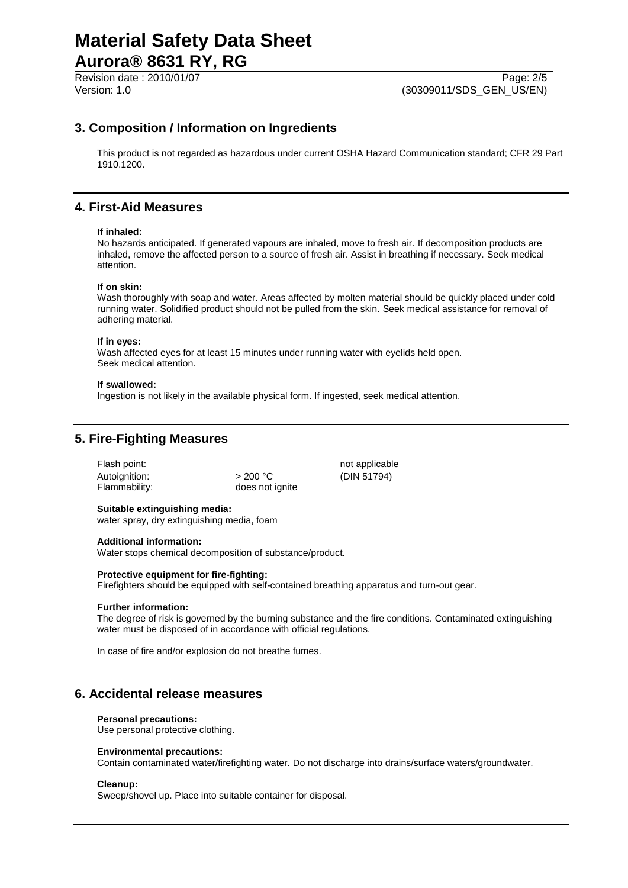## **3. Composition / Information on Ingredients**

This product is not regarded as hazardous under current OSHA Hazard Communication standard; CFR 29 Part 1910.1200.

# **4. First-Aid Measures**

#### **If inhaled:**

No hazards anticipated. If generated vapours are inhaled, move to fresh air. If decomposition products are inhaled, remove the affected person to a source of fresh air. Assist in breathing if necessary. Seek medical attention.

#### **If on skin:**

Wash thoroughly with soap and water. Areas affected by molten material should be quickly placed under cold running water. Solidified product should not be pulled from the skin. Seek medical assistance for removal of adhering material.

#### **If in eyes:**

Wash affected eyes for at least 15 minutes under running water with eyelids held open. Seek medical attention.

#### **If swallowed:**

Ingestion is not likely in the available physical form. If ingested, seek medical attention.

## **5. Fire-Fighting Measures**

| >200 °C         |
|-----------------|
| does not ignite |
|                 |

not applicable (DIN 51794)

#### **Suitable extinguishing media:**

water spray, dry extinguishing media, foam

#### **Additional information:**

Water stops chemical decomposition of substance/product.

#### **Protective equipment for fire-fighting:**

Firefighters should be equipped with self-contained breathing apparatus and turn-out gear.

#### **Further information:**

The degree of risk is governed by the burning substance and the fire conditions. Contaminated extinguishing water must be disposed of in accordance with official regulations.

In case of fire and/or explosion do not breathe fumes.

## **6. Accidental release measures**

#### **Personal precautions:**

Use personal protective clothing.

#### **Environmental precautions:**

Contain contaminated water/firefighting water. Do not discharge into drains/surface waters/groundwater.

#### **Cleanup:**

Sweep/shovel up. Place into suitable container for disposal.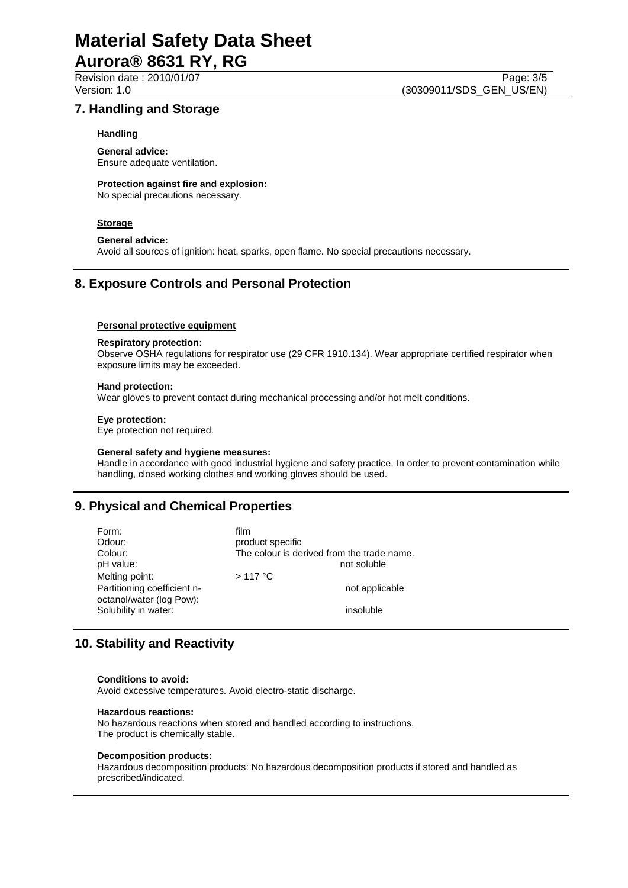### **7. Handling and Storage**

#### **Handling**

**General advice:** Ensure adequate ventilation.

## **Protection against fire and explosion:**

No special precautions necessary.

### **Storage**

**General advice:** Avoid all sources of ignition: heat, sparks, open flame. No special precautions necessary.

# **8. Exposure Controls and Personal Protection**

#### **Personal protective equipment**

#### **Respiratory protection:**

Observe OSHA regulations for respirator use (29 CFR 1910.134). Wear appropriate certified respirator when exposure limits may be exceeded.

#### **Hand protection:**

Wear gloves to prevent contact during mechanical processing and/or hot melt conditions.

#### **Eye protection:**

Eye protection not required.

#### **General safety and hygiene measures:**

Handle in accordance with good industrial hygiene and safety practice. In order to prevent contamination while handling, closed working clothes and working gloves should be used.

# **9. Physical and Chemical Properties**

| Form:<br>Odour:<br>Colour:<br>pH value:<br>Melting point:<br>Partitioning coefficient n-<br>octanol/water (log Pow): | film<br>product specific<br>The colour is derived from the trade name.<br>not soluble<br>$>117$ °C<br>not applicable |
|----------------------------------------------------------------------------------------------------------------------|----------------------------------------------------------------------------------------------------------------------|
| Solubility in water:                                                                                                 | insoluble                                                                                                            |

# **10. Stability and Reactivity**

#### **Conditions to avoid:**

Avoid excessive temperatures. Avoid electro-static discharge.

#### **Hazardous reactions:**

No hazardous reactions when stored and handled according to instructions. The product is chemically stable.

#### **Decomposition products:**

Hazardous decomposition products: No hazardous decomposition products if stored and handled as prescribed/indicated.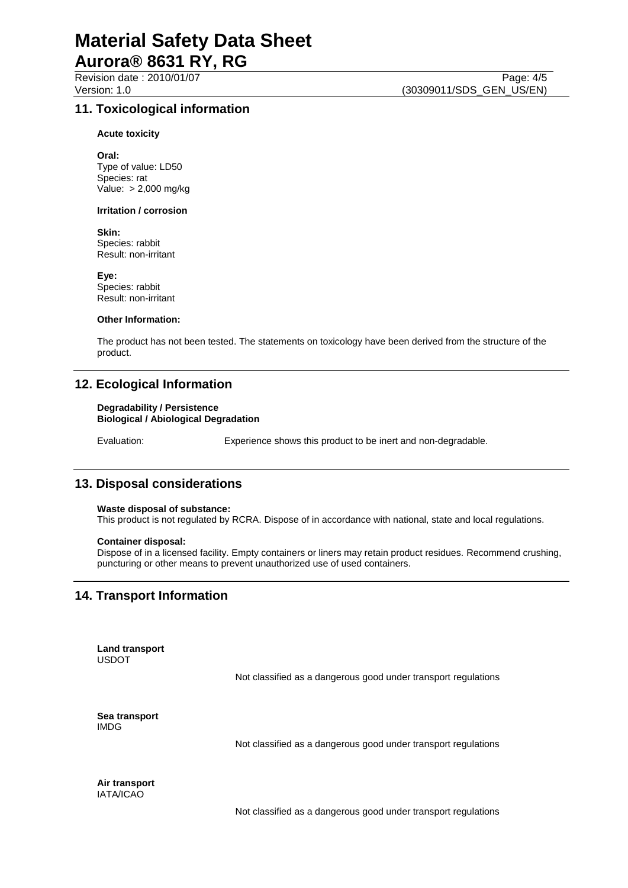#### **Acute toxicity**

**Oral:** Type of value: LD50 Species: rat Value: > 2,000 mg/kg

#### **Irritation / corrosion**

**Skin:** Species: rabbit Result: non-irritant

**Eye:** Species: rabbit Result: non-irritant

#### **Other Information:**

The product has not been tested. The statements on toxicology have been derived from the structure of the product.

## **12. Ecological Information**

#### **Degradability / Persistence Biological / Abiological Degradation**

Evaluation: Experience shows this product to be inert and non-degradable.

## **13. Disposal considerations**

#### **Waste disposal of substance:**

This product is not regulated by RCRA. Dispose of in accordance with national, state and local regulations.

#### **Container disposal:**

Dispose of in a licensed facility. Empty containers or liners may retain product residues. Recommend crushing, puncturing or other means to prevent unauthorized use of used containers.

# **14. Transport Information**

**Land transport** USDOT

Not classified as a dangerous good under transport regulations

**Sea transport** IMDG

Not classified as a dangerous good under transport regulations

**Air transport** IATA/ICAO

Not classified as a dangerous good under transport regulations

Revision date : 2010/01/07 Page: 4/5<br>Version: 1.0 (30309011/SDS GEN US/EN) (30309011/SDS\_GEN\_US/EN)